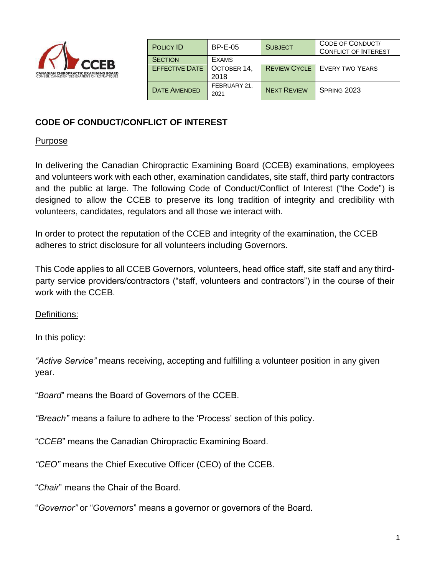

| <b>POLICY ID</b>                    | <b>BP-E-05</b>       | <b>SUBJECT</b>     | CODE OF CONDUCT/<br><b>CONFLICT OF INTEREST</b> |
|-------------------------------------|----------------------|--------------------|-------------------------------------------------|
| <b>SECTION</b>                      | <b>EXAMS</b>         |                    |                                                 |
| <b>EFFECTIVE DATE</b>   OCTOBER 14, |                      |                    | <b>REVIEW CYCLE</b>   EVERY TWO YEARS           |
|                                     | 2018                 |                    |                                                 |
| <b>DATE AMENDED</b>                 | FEBRUARY 21,<br>2021 | <b>NEXT REVIEW</b> | SPRING 2023                                     |

### **CODE OF CONDUCT/CONFLICT OF INTEREST**

#### Purpose

In delivering the Canadian Chiropractic Examining Board (CCEB) examinations, employees and volunteers work with each other, examination candidates, site staff, third party contractors and the public at large. The following Code of Conduct/Conflict of Interest ("the Code") is designed to allow the CCEB to preserve its long tradition of integrity and credibility with volunteers, candidates, regulators and all those we interact with.

In order to protect the reputation of the CCEB and integrity of the examination, the CCEB adheres to strict disclosure for all volunteers including Governors.

This Code applies to all CCEB Governors, volunteers, head office staff, site staff and any thirdparty service providers/contractors ("staff, volunteers and contractors") in the course of their work with the CCEB.

Definitions:

In this policy:

*"Active Service"* means receiving, accepting and fulfilling a volunteer position in any given year.

"*Board*" means the Board of Governors of the CCEB.

*"Breach"* means a failure to adhere to the 'Process' section of this policy.

"*CCEB*" means the Canadian Chiropractic Examining Board.

*"CEO"* means the Chief Executive Officer (CEO) of the CCEB.

"*Chair*" means the Chair of the Board.

"*Governor"* or "*Governors*" means a governor or governors of the Board.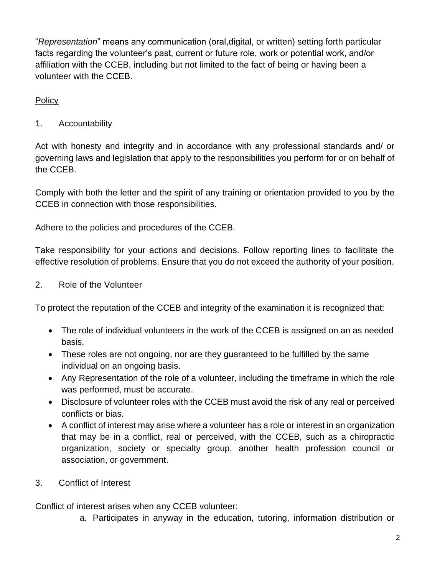"*Representation*" means any communication (oral,digital, or written) setting forth particular facts regarding the volunteer's past, current or future role, work or potential work, and/or affiliation with the CCEB, including but not limited to the fact of being or having been a volunteer with the CCEB.

**Policy** 

1. Accountability

Act with honesty and integrity and in accordance with any professional standards and/ or governing laws and legislation that apply to the responsibilities you perform for or on behalf of the CCEB.

Comply with both the letter and the spirit of any training or orientation provided to you by the CCEB in connection with those responsibilities.

Adhere to the policies and procedures of the CCEB.

Take responsibility for your actions and decisions. Follow reporting lines to facilitate the effective resolution of problems. Ensure that you do not exceed the authority of your position.

2. Role of the Volunteer

To protect the reputation of the CCEB and integrity of the examination it is recognized that:

- The role of individual volunteers in the work of the CCEB is assigned on an as needed basis.
- These roles are not ongoing, nor are they guaranteed to be fulfilled by the same individual on an ongoing basis.
- Any Representation of the role of a volunteer, including the timeframe in which the role was performed, must be accurate.
- Disclosure of volunteer roles with the CCEB must avoid the risk of any real or perceived conflicts or bias.
- A conflict of interest may arise where a volunteer has a role or interest in an organization that may be in a conflict, real or perceived, with the CCEB, such as a chiropractic organization, society or specialty group, another health profession council or association, or government.
- 3. Conflict of Interest

Conflict of interest arises when any CCEB volunteer:

a. Participates in anyway in the education, tutoring, information distribution or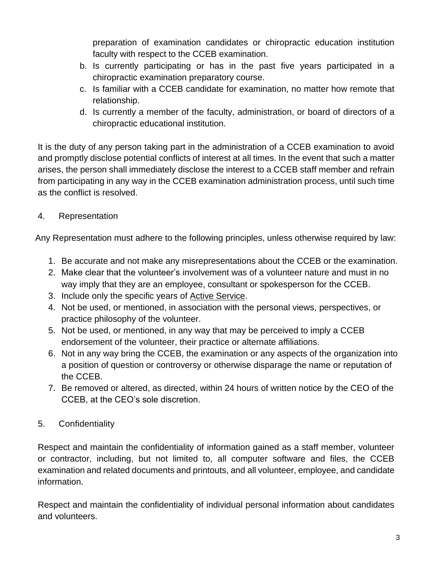preparation of examination candidates or chiropractic education institution faculty with respect to the CCEB examination.

- b. Is currently participating or has in the past five years participated in a chiropractic examination preparatory course.
- c. Is familiar with a CCEB candidate for examination, no matter how remote that relationship.
- d. Is currently a member of the faculty, administration, or board of directors of a chiropractic educational institution.

It is the duty of any person taking part in the administration of a CCEB examination to avoid and promptly disclose potential conflicts of interest at all times. In the event that such a matter arises, the person shall immediately disclose the interest to a CCEB staff member and refrain from participating in any way in the CCEB examination administration process, until such time as the conflict is resolved.

# 4. Representation

Any Representation must adhere to the following principles, unless otherwise required by law:

- 1. Be accurate and not make any misrepresentations about the CCEB or the examination.
- 2. Make clear that the volunteer's involvement was of a volunteer nature and must in no way imply that they are an employee, consultant or spokesperson for the CCEB.
- 3. Include only the specific years of Active Service.
- 4. Not be used, or mentioned, in association with the personal views, perspectives, or practice philosophy of the volunteer.
- 5. Not be used, or mentioned, in any way that may be perceived to imply a CCEB endorsement of the volunteer, their practice or alternate affiliations.
- 6. Not in any way bring the CCEB, the examination or any aspects of the organization into a position of question or controversy or otherwise disparage the name or reputation of the CCEB.
- 7. Be removed or altered, as directed, within 24 hours of written notice by the CEO of the CCEB, at the CEO's sole discretion.
- 5. Confidentiality

Respect and maintain the confidentiality of information gained as a staff member, volunteer or contractor, including, but not limited to, all computer software and files, the CCEB examination and related documents and printouts, and all volunteer, employee, and candidate information.

Respect and maintain the confidentiality of individual personal information about candidates and volunteers.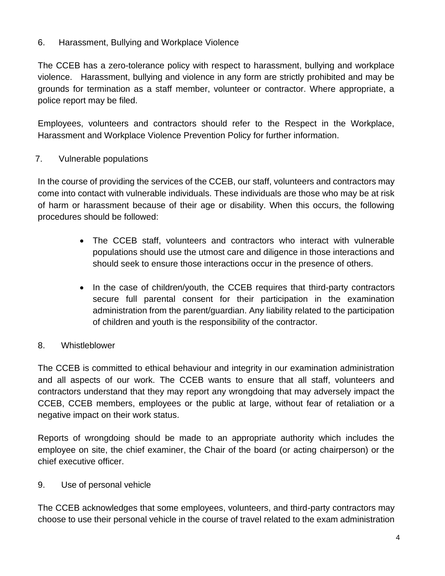### 6. Harassment, Bullying and Workplace Violence

The CCEB has a zero-tolerance policy with respect to harassment, bullying and workplace violence. Harassment, bullying and violence in any form are strictly prohibited and may be grounds for termination as a staff member, volunteer or contractor. Where appropriate, a police report may be filed.

Employees, volunteers and contractors should refer to the Respect in the Workplace, Harassment and Workplace Violence Prevention Policy for further information.

### 7. Vulnerable populations

In the course of providing the services of the CCEB, our staff, volunteers and contractors may come into contact with vulnerable individuals. These individuals are those who may be at risk of harm or harassment because of their age or disability. When this occurs, the following procedures should be followed:

- The CCEB staff, volunteers and contractors who interact with vulnerable populations should use the utmost care and diligence in those interactions and should seek to ensure those interactions occur in the presence of others.
- In the case of children/youth, the CCEB requires that third-party contractors secure full parental consent for their participation in the examination administration from the parent/guardian. Any liability related to the participation of children and youth is the responsibility of the contractor.

# 8. Whistleblower

The CCEB is committed to ethical behaviour and integrity in our examination administration and all aspects of our work. The CCEB wants to ensure that all staff, volunteers and contractors understand that they may report any wrongdoing that may adversely impact the CCEB, CCEB members, employees or the public at large, without fear of retaliation or a negative impact on their work status.

Reports of wrongdoing should be made to an appropriate authority which includes the employee on site, the chief examiner, the Chair of the board (or acting chairperson) or the chief executive officer.

### 9. Use of personal vehicle

The CCEB acknowledges that some employees, volunteers, and third-party contractors may choose to use their personal vehicle in the course of travel related to the exam administration